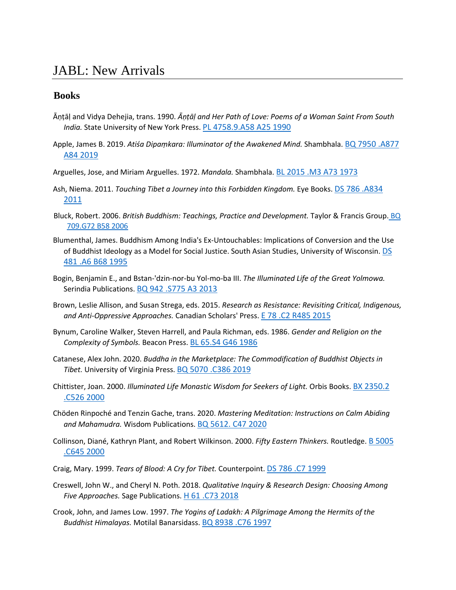## JABL: New Arrivals

## **Books**

- Āṇṭāḷ and Vidya Dehejia, trans. 1990. *Āṇṭāḷ and Her Path of Love: Poems of a Woman Saint From South India.* State University of New York Press. [PL 4758.9.A58 A25 1990](https://maitripa.populiweb.com/library/resource.php?resourceID=14145245)
- Apple, James B. 2019. *Atiśa Dipaṃkara: Illuminator of the Awakened Mind.* Shambhala. [BQ 7950 .A877](https://maitripa.populiweb.com/library/resource.php?resourceID=14145201)  [A84 2019](https://maitripa.populiweb.com/library/resource.php?resourceID=14145201)
- Arguelles, Jose, and Miriam Arguelles. 1972. *Mandala.* Shambhala. [BL 2015 .M3 A73 1973](https://maitripa.populiweb.com/library/resource.php?resourceID=14145122)
- Ash, Niema. 2011. *Touching Tibet a Journey into this Forbidden Kingdom.* Eye Books[. DS 786 .A834](https://maitripa.populiweb.com/library/resource.php?resourceID=14145184)  [2011](https://maitripa.populiweb.com/library/resource.php?resourceID=14145184)
- Bluck, Robert. 2006. *British Buddhism: Teachings, Practice and Development.* Taylor & Francis Group. [BQ](https://maitripa.populiweb.com/library/resource.php?resourceID=14145252)  [709.G72 B58 2006](https://maitripa.populiweb.com/library/resource.php?resourceID=14145252)
- Blumenthal, James. Buddhism Among India's Ex-Untouchables: Implications of Conversion and the Use of Buddhist Ideology as a Model for Social Justice. South Asian Studies, University of Wisconsin. DS [481 .A6 B68 1995](https://maitripa.populiweb.com/library/resource.php?resourceID=14145162)
- Bogin, Benjamin E., and Bstan-'dzin-nor-bu Yol-mo-ba III. *The Illuminated Life of the Great Yolmowa.*  Serindia Publications. [BQ 942 .S775 A3 2013](https://maitripa.populiweb.com/library/resource.php?resourceID=14145224)
- Brown, Leslie Allison, and Susan Strega, eds. 2015. *Research as Resistance: Revisiting Critical, Indigenous, and Anti-Oppressive Approaches.* Canadian Scholars' Press[. E 78 .C2 R485 2015](https://maitripa.populiweb.com/library/resource.php?resourceID=14145156)
- Bynum, Caroline Walker, Steven Harrell, and Paula Richman, eds. 1986. *Gender and Religion on the Complexity of Symbols.* Beacon Press. [BL 65.S4 G46 1986](https://maitripa.populiweb.com/library/resource.php?resourceID=14145179)
- Catanese, Alex John. 2020. *Buddha in the Marketplace: The Commodification of Buddhist Objects in Tibet.* University of Virginia Press[. BQ 5070 .C386 2019](https://maitripa.populiweb.com/library/resource.php?resourceID=14145204)
- Chittister, Joan. 2000. *Illuminated Life Monastic Wisdom for Seekers of Light.* Orbis Books. [BX 2350.2](https://maitripa.populiweb.com/library/resource.php?resourceID=14145167)  [.C526 2000](https://maitripa.populiweb.com/library/resource.php?resourceID=14145167)
- Chöden Rinpoché and Tenzin Gache, trans. 2020. *Mastering Meditation: Instructions on Calm Abiding and Mahamudra.* Wisdom Publications. [BQ 5612. C47 2020](https://maitripa.populiweb.com/library/resource.php?resourceID=14145158)
- Collinson, Diané, Kathryn Plant, and Robert Wilkinson. 2000. *Fifty Eastern Thinkers.* Routledge. [B 5005](https://maitripa.populiweb.com/library/resource.php?resourceID=14145192)  [.C645 2000](https://maitripa.populiweb.com/library/resource.php?resourceID=14145192)
- Craig, Mary. 1999. *Tears of Blood: A Cry for Tibet.* Counterpoint[. DS 786 .C7 1999](https://maitripa.populiweb.com/library/resource.php?resourceID=14145178)
- Creswell, John W., and Cheryl N. Poth. 2018. *Qualitative Inquiry & Research Design: Choosing Among Five Approaches.* Sage Publications[. H 61 .C73 2018](https://maitripa.populiweb.com/library/resource.php?resourceID=14145157)
- Crook, John, and James Low. 1997. *The Yogins of Ladakh: A Pilgrimage Among the Hermits of the Buddhist Himalayas.* Motilal Banarsidass. [BQ 8938 .C76 1997](https://maitripa.populiweb.com/library/resource.php?resourceID=14145198)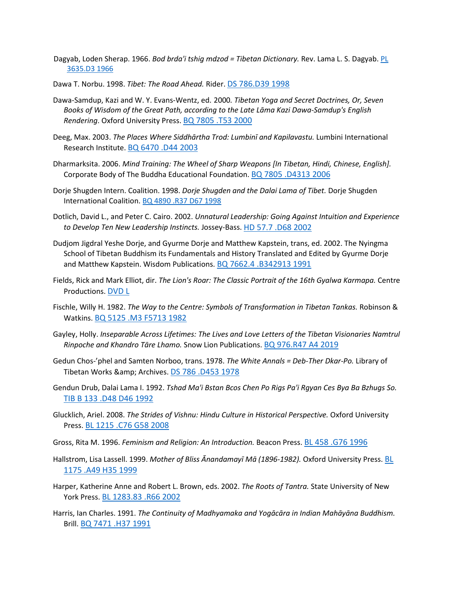- Dagyab, Loden Sherap. 1966. *Bod brda'i tshig mdzod = Tibetan Dictionary.* Rev. Lama L. S. Dagyab. [PL](https://maitripa.populiweb.com/library/resource.php?resourceID=14145248)  [3635.D3 1966](https://maitripa.populiweb.com/library/resource.php?resourceID=14145248)
- Dawa T. Norbu. 1998. *Tibet: The Road Ahead.* Rider. DS [786.D39 1998](https://maitripa.populiweb.com/library/resource.php?resourceID=14145187)
- Dawa-Samdup, Kazi and W. Y. Evans-Wentz, ed. 2000*. Tibetan Yoga and Secret Doctrines, Or, Seven Books of Wisdom of the Great Path, according to the Late Lāma Kazi Dawa-Samdup's English Rendering*. Oxford University Press. [BQ 7805 .T53 2000](https://maitripa.populiweb.com/library/resource.php?resourceID=14145207)
- Deeg, Max. 2003. *The Places Where Siddhārtha Trod: Lumbinī and Kapilavastu.* Lumbini International Research Institute[. BQ 6470 .D44 2003](https://maitripa.populiweb.com/library/resource.php?resourceID=14145170)
- Dharmarksita. 2006. *Mind Training: The Wheel of Sharp Weapons [In Tibetan, Hindi, Chinese, English].*  Corporate Body of The Buddha Educational Foundation[. BQ 7805 .D4313 2006](https://maitripa.populiweb.com/library/resource.php?resourceID=14145231)
- Dorje Shugden Intern. Coalition. 1998. *Dorje Shugden and the Dalai Lama of Tibet.* Dorje Shugden International Coalition. [BQ 4890 .R37 D67 1998](https://maitripa.populiweb.com/library/resource.php?resourceID=14145234)
- Dotlich, David L., and Peter C. Cairo. 2002. *Unnatural Leadership: Going Against Intuition and Experience to Develop Ten New Leadership Instincts.* Jossey-Bass. [HD 57.7 .D68 2002](https://maitripa.populiweb.com/library/resource.php?resourceID=14145139)
- Dudjom Jigdral Yeshe Dorje, and Gyurme Dorje and Matthew Kapstein, trans, ed. 2002. The Nyingma School of Tibetan Buddhism its Fundamentals and History Translated and Edited by Gyurme Dorje and Matthew Kapstein. Wisdom Publications. [BQ 7662.4 .B342913 1991](https://maitripa.populiweb.com/library/resource.php?resourceID=14145144)
- Fields, Rick and Mark Elliot, dir. *The Lion's Roar: The Classic Portrait of the 16th Gyalwa Karmapa.* Centre Productions[. DVD L](https://maitripa.populiweb.com/library/resource.php?resourceID=14145132)
- Fischle, Willy H. 1982. *The Way to the Centre: Symbols of Transformation in Tibetan Tankas.* Robinson & Watkins. [BQ 5125 .M3 F5713 1982](https://maitripa.populiweb.com/library/resource.php?resourceID=14145123)
- Gayley, Holly. *Inseparable Across Lifetimes: The Lives and Love Letters of the Tibetan Visionaries Namtrul Rinpoche and Khandro Tāre Lhamo.* Snow Lion Publications[. BQ 976.R47 A4 2019](https://maitripa.populiweb.com/library/resource.php?resourceID=14145118)
- Gedun Chos-'phel and Samten Norboo, trans. 1978. *The White Annals = Deb-Ther Dkar-Po.* Library of Tibetan Works & amp; Archives. [DS 786 .D453 1978](https://maitripa.populiweb.com/library/resource.php?resourceID=14145195)
- Gendun Drub, Dalai Lama I. 1992. *Tshad Ma'i Bstan Bcos Chen Po Rigs Pa'i Rgyan Ces Bya Ba Bzhugs So.*  [TIB B 133 .D48 D46 1992](https://maitripa.populiweb.com/library/resource.php?resourceID=14145235)
- Glucklich, Ariel. 2008. *The Strides of Vishnu: Hindu Culture in Historical Perspective.* Oxford University Press[. BL 1215 .C76 G58 2008](https://maitripa.populiweb.com/library/resource.php?resourceID=14145240)
- Gross, Rita M. 1996. *Feminism and Religion: An Introduction.* Beacon Press[. BL 458 .G76 1996](https://maitripa.populiweb.com/library/resource.php?resourceID=14145199)
- Hallstrom, Lisa Lassell. 1999. *Mother of Bliss Ānandamayī Mā (1896-1982).* Oxford University Press[. BL](https://maitripa.populiweb.com/library/resource.php?resourceID=14145218)  [1175 .A49 H35 1999](https://maitripa.populiweb.com/library/resource.php?resourceID=14145218)
- Harper, Katherine Anne and Robert L. Brown, eds. 2002. *The Roots of Tantra.* State University of New York Press. [BL 1283.83 .R66 2002](https://maitripa.populiweb.com/library/resource.php?resourceID=14145189)
- Harris, Ian Charles. 1991. *The Continuity of Madhyamaka and Yogācāra in Indian Mahāyāna Buddhism.*  Brill. [BQ 7471 .H37 1991](https://maitripa.populiweb.com/library/resource.php?resourceID=14145168)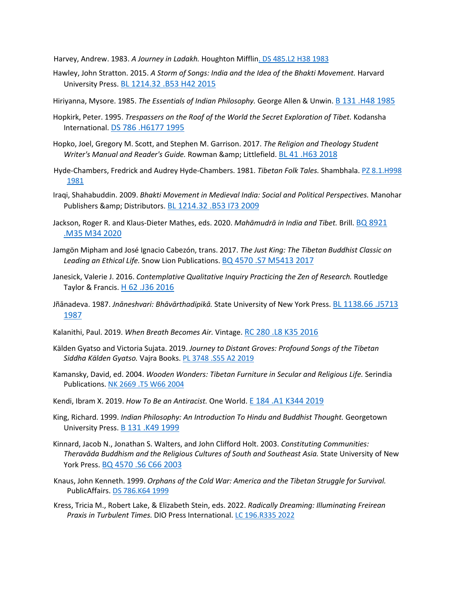Harvey, Andrew. 1983. *A Journey in Ladakh.* Houghton Miffli[n. DS 485.L2 H38 1983](https://maitripa.populiweb.com/library/resource.php?resourceID=14145259)

Hawley, John Stratton. 2015. *A Storm of Songs: India and the Idea of the Bhakti Movement.* Harvard University Press. [BL 1214.32 .B53 H42 2015](https://maitripa.populiweb.com/library/resource.php?resourceID=14145247)

Hiriyanna, Mysore. 1985. *The Essentials of Indian Philosophy.* George Allen & Unwin[. B 131 .H48 1985](https://maitripa.populiweb.com/library/resource.php?resourceID=14145216)

- Hopkirk, Peter. 1995. *Trespassers on the Roof of the World the Secret Exploration of Tibet.* Kodansha International. [DS 786 .H6177 1995](https://maitripa.populiweb.com/library/resource.php?resourceID=14145174)
- Hopko, Joel, Gregory M. Scott, and Stephen M. Garrison. 2017. *The Religion and Theology Student Writer's Manual and Reader's Guide.* Rowman & amp; Littlefield. [BL 41 .H63 2018](https://maitripa.populiweb.com/library/resource.php?resourceID=14145159)
- Hyde-Chambers, Fredrick and Audrey Hyde-Chambers. 1981. *Tibetan Folk Tales.* Shambhala. [PZ 8.1.H998](https://maitripa.populiweb.com/library/resource.php?resourceID=14145262.)  [1981](https://maitripa.populiweb.com/library/resource.php?resourceID=14145262.)
- Iraqi, Shahabuddin. 2009. *Bhakti Movement in Medieval India: Social and Political Perspectives.* Manohar Publishers & amp; Distributors. BL 1214.32. B53 I73 2009
- Jackson, Roger R. and Klaus-Dieter Mathes, eds. 2020. *Mahāmudrā in India and Tibet.* Brill. [BQ 8921](https://maitripa.populiweb.com/library/resource.php?resourceID=14145223)  [.M35 M34 2020](https://maitripa.populiweb.com/library/resource.php?resourceID=14145223)
- Jamgön Mipham and José Ignacio Cabezón, trans. 2017. *The Just King: The Tibetan Buddhist Classic on Leading an Ethical Life.* Snow Lion Publications. [BQ 4570 .S7 M5413 2017](https://maitripa.populiweb.com/library/resource.php?resourceID=14145205)
- Janesick, Valerie J. 2016. *Contemplative Qualitative Inquiry Practicing the Zen of Research.* Routledge Taylor & Francis[. H 62 .J36 2016](https://maitripa.populiweb.com/library/resource.php?resourceID=14145166)
- Jñānadeva. 1987. *Jnāneshvari: Bhāvārthadipikā.* State University of New York Press. [BL 1138.66 .J5713](https://maitripa.populiweb.com/library/resource.php?resourceID=14145221)  [1987](https://maitripa.populiweb.com/library/resource.php?resourceID=14145221)
- Kalanithi, Paul. 2019. *When Breath Becomes Air.* Vintage. [RC 280 .L8 K35 2016](https://maitripa.populiweb.com/library/resource.php?resourceID=14145220)
- Kälden Gyatso and Victoria Sujata. 2019. *Journey to Distant Groves: Profound Songs of the Tibetan Siddha Kälden Gyatso.* Vajra Books[. PL 3748 .S55 A2 2019](https://maitripa.populiweb.com/library/resource.php?resourceID=14145227)
- Kamansky, David, ed. 2004. *Wooden Wonders: Tibetan Furniture in Secular and Religious Life.* Serindia Publications. [NK 2669 .T5 W66 2004](https://maitripa.populiweb.com/library/resource.php?resourceID=14145206)
- Kendi, Ibram X. 2019. *How To Be an Antiracist.* One World. [E 184 .A1 K344 2019](https://maitripa.populiweb.com/library/resource.php?resourceID=14145203)
- King, Richard. 1999. *Indian Philosophy: An Introduction To Hindu and Buddhist Thought.* Georgetown University Press. [B 131 .K49 1999](https://maitripa.populiweb.com/library/resource.php?resourceID=14145197)
- Kinnard, Jacob N., Jonathan S. Walters, and John Clifford Holt. 2003. *Constituting Communities: Theravāda Buddhism and the Religious Cultures of South and Southeast Asia.* State University of New York Press. [BQ 4570 .S6 C66 2003](https://maitripa.populiweb.com/library/resource.php?resourceID=14145228)
- Knaus, John Kenneth. 1999. *Orphans of the Cold War: America and the Tibetan Struggle for Survival.*  PublicAffairs. [DS 786.K64 1999](https://maitripa.populiweb.com/library/resource.php?resourceID=14145261)
- Kress, Tricia M., Robert Lake, & Elizabeth Stein, eds. 2022. *Radically Dreaming: Illuminating Freirean Praxis in Turbulent Times.* DIO Press International[. LC 196.R335 2022](https://maitripa.populiweb.com/library/resource.php?resourceID=14145249)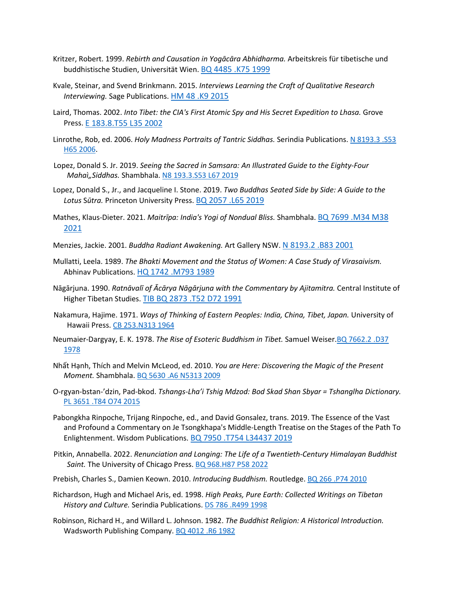- Kritzer, Robert. 1999. *Rebirth and Causation in Yogācāra Abhidharma.* Arbeitskreis für tibetische und buddhistische Studien, Universität Wien. [BQ 4485 .K75 1999](https://maitripa.populiweb.com/library/resource.php?resourceID=14145160)
- Kvale, Steinar, and Svend Brinkmann. 2015. *Interviews Learning the Craft of Qualitative Research Interviewing.* Sage Publications. [HM 48 .K9 2015](https://maitripa.populiweb.com/library/resource.php?resourceID=14145154)
- Laird, Thomas. 2002. *Into Tibet: the CIA's First Atomic Spy and His Secret Expedition to Lhasa.* Grove Press[. E 183.8.T55 L35 2002](https://maitripa.populiweb.com/library/resource.php?resourceID=14145177)
- Linrothe, Rob, ed. 2006. *Holy Madness Portraits of Tantric Siddhas.* Serindia Publications. N [8193.3 .S53](https://maitripa.populiweb.com/library/resource.php?resourceID=14145239)  [H65 2006.](https://maitripa.populiweb.com/library/resource.php?resourceID=14145239)
- Lopez, Donald S. Jr. 2019. *Seeing the Sacred in Samsara: An Illustrated Guide to the Eighty-Four Mahaì"Siddhas.* Shambhala. [N8 193.3.S53 L67 2019](https://maitripa.populiweb.com/library/resource.php?resourceID=14145251)
- Lopez, Donald S., Jr., and Jacqueline I. Stone. 2019. *Two Buddhas Seated Side by Side: A Guide to the Lotus* S*ūtra.* Princeton University Press. [BQ 2057 .L65 2019](https://maitripa.populiweb.com/library/resource.php?resourceID=14145165)
- Mathes, Klaus-Dieter. 2021. *Maitrīpa: India's Yogi of Nondual Bliss.* Shambhala[. BQ 7699 .M34 M38](https://maitripa.populiweb.com/library/resource.php?resourceID=14145202)  [2021](https://maitripa.populiweb.com/library/resource.php?resourceID=14145202)
- Menzies, Jackie. 2001. *Buddha Radiant Awakening.* Art Gallery NSW[. N 8193.2 .B83 2001](https://maitripa.populiweb.com/library/resource.php?resourceID=14145209)
- Mullatti, Leela. 1989. *The Bhakti Movement and the Status of Women: A Case Study of Virasaivism.*  Abhinav Publications. [HQ 1742 .M793 1989](https://maitripa.populiweb.com/library/resource.php?resourceID=14145246)
- Nāgārjuna. 1990. *Ratnāvalī of Ācārya Nāgārjuna with the Commentary by Ajitamitra.* Central Institute of Higher Tibetan Studies. [TIB BQ 2873 .T52 D72 1991](https://maitripa.populiweb.com/library/resource.php?resourceID=14145232)
- Nakamura, Hajime. 1971. *Ways of Thinking of Eastern Peoples: India, China, Tibet, Japan.* University of Hawaii Press[. CB 253.N313 1964](https://maitripa.populiweb.com/library/resource.php?resourceID=14145263)
- Neumaier-Dargyay, E. K. 1978. *The Rise of Esoteric Buddhism in Tibet.* Samuel Weiser[.BQ 7662.2 .D37](https://maitripa.populiweb.com/library/resource.php?resourceID=14145217)  [1978](https://maitripa.populiweb.com/library/resource.php?resourceID=14145217)
- Nhất Hạnh, Thích and Melvin McLeod, ed. 2010. *You are Here: Discovering the Magic of the Present Moment.* Shambhala. [BQ 5630 .A6 N5313 2009](https://maitripa.populiweb.com/library/resource.php?resourceID=14145147)
- O-rgyan-bstan-'dzin, Pad-bkod. *Tshangs-Lha'i Tshig Mdzod: Bod Skad Shan Sbyar = Tshanglha Dictionary.*  [PL 3651 .T84 O74 2015](https://maitripa.populiweb.com/library/resource.php?resourceID=14145152)
- Pabongkha Rinpoche, Trijang Rinpoche, ed., and David Gonsalez, trans. 2019. The Essence of the Vast and Profound a Commentary on Je Tsongkhapa's Middle-Length Treatise on the Stages of the Path To Enlightenment. Wisdom Publications[. BQ 7950 .T754 L34437 2019](https://maitripa.populiweb.com/library/resource.php?resourceID=14145145)
- Pitkin, Annabella. 2022. *Renunciation and Longing: The Life of a Twentieth-Century Himalayan Buddhist Saint.* The University of Chicago Press[. BQ 968.H87 P58 2022](https://maitripa.populiweb.com/library/resource.php?resourceID=14145250.)
- Prebish, Charles S., Damien Keown. 2010. *Introducing Buddhism.* Routledge. [BQ 266 .P74 2010](https://maitripa.populiweb.com/library/resource.php?resourceID=14145150)
- Richardson, Hugh and Michael Aris, ed. 1998. *High Peaks, Pure Earth: Collected Writings on Tibetan History and Culture.* Serindia Publications. [DS 786 .R499 1998](https://maitripa.populiweb.com/library/resource.php?resourceID=14145188)
- Robinson, Richard H., and Willard L. Johnson. 1982. *The Buddhist Religion: A Historical Introduction.*  Wadsworth Publishing Company. [BQ 4012 .R6 1982](https://maitripa.populiweb.com/library/resource.php?resourceID=14145229)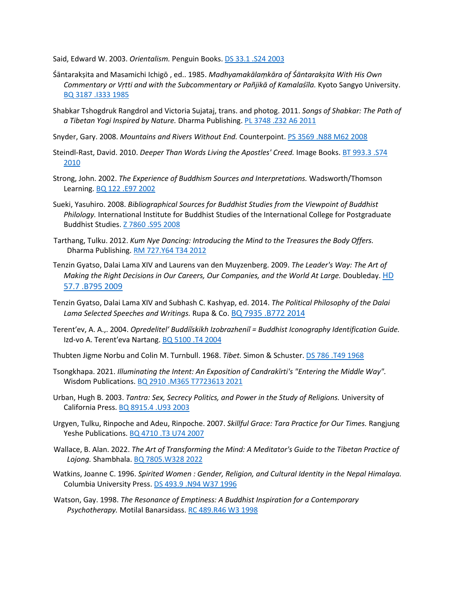Said, Edward W. 2003. *Orientalism.* Penguin Books. [DS 33.1 .S24 2003](https://maitripa.populiweb.com/library/resource.php?resourceID=14145148)

- Śāntarakṣ[ita and Masamichi Ichig](https://maitripa.populiweb.com/library/agent.php?agentID=8358836)ō , ed.. 1985. *Madhyamakālaṃkāra of Śāntarakṣita With His Own Commentary or Vṛtti and with the Subcommentary or Pañjikā of Kamalaśīla.* Kyoto Sangyo University. [BQ 3187 .I333 1985](https://maitripa.populiweb.com/library/resource.php?resourceID=14145173)
- Shabkar Tshogdruk Rangdrol and Victoria Sujataj, trans. and photog. 2011. *Songs of Shabkar: The Path of a Tibetan Yogi Inspired by Nature.* Dharma Publishing[. PL 3748 .Z32 A6 2011](https://maitripa.populiweb.com/library/resource.php?resourceID=14145225)
- Snyder, Gary. 2008. *Mountains and Rivers Without End.* Counterpoint[. PS 3569 .N88 M62 2008](https://maitripa.populiweb.com/library/resource.php?resourceID=14145222)
- Steindl-Rast, David. 2010. *Deeper Than Words Living the Apostles' Creed.* Image Books. [BT 993.3 .S74](https://maitripa.populiweb.com/library/resource.php?resourceID=14145219)  [2010](https://maitripa.populiweb.com/library/resource.php?resourceID=14145219)
- Strong, John. 2002. *The Experience of Buddhism Sources and Interpretations.* Wadsworth/Thomson Learning. [BQ 122 .E97 2002](https://maitripa.populiweb.com/library/resource.php?resourceID=14145180)
- Sueki, Yasuhiro. 2008. *Bibliographical Sources for Buddhist Studies from the Viewpoint of Buddhist Philology.* International Institute for Buddhist Studies of the International College for Postgraduate Buddhist Studies[. Z 7860 .S95 2008](https://maitripa.populiweb.com/library/resource.php?resourceID=14145213)
- Tarthang, Tulku. 2012. *Kum Nye Dancing: Introducing the Mind to the Treasures the Body Offers.*  Dharma Publishing. [RM 727.Y64 T34 2012](https://maitripa.populiweb.com/library/resource.php?resourceID=14145255.)
- Tenzin Gyatso, Dalai Lama XIV and Laurens van den Muyzenberg. 2009. *The Leader's Way: The Art of Making the Right Decisions in Our Careers, Our Companies, and the World At Large.* Doubleday. HD [57.7 .B795 2009](https://maitripa.populiweb.com/library/resource.php?resourceID=14145137)
- Tenzin Gyatso, Dalai Lama XIV and Subhash C. Kashyap, ed. 2014. *The Political Philosophy of the Dalai Lama Selected Speeches and Writings.* Rupa & Co[. BQ 7935 .B772 2014](https://maitripa.populiweb.com/library/resource.php?resourceID=14145151)
- Terentʹev, A. A.,. 2004. *Opredelitelʹ Buddiĭskikh Izobrazheniĭ = Buddhist Iconography Identification Guide.*  Izd-vo A. Terent'eva Nartang. BQ 5100. T4 2004
- Thubten Jigme Norbu and Colin M. Turnbull. 1968. *Tibet.* Simon & Schuster. [DS 786 .T49 1968](https://maitripa.populiweb.com/library/resource.php?resourceID=14145175)
- Tsongkhapa. 2021. *Illuminating the Intent: An Exposition of Candrakīrti's "Entering the Middle Way".*  Wisdom Publications[. BQ 2910 .M365 T7723613 2021](https://maitripa.populiweb.com/library/resource.php?resourceID=14145163)
- Urban, Hugh B. 2003. *Tantra: Sex, Secrecy Politics, and Power in the Study of Religions.* University of California Press[. BQ 8915.4 .U93 2003](https://maitripa.populiweb.com/library/resource.php?resourceID=14145190)
- Urgyen, Tulku, Rinpoche and Adeu, Rinpoche. 2007. *Skillful Grace: Tara Practice for Our Times.* Rangjung Yeshe Publications. [BQ 4710 .T3 U74 2007](https://maitripa.populiweb.com/library/resource.php?resourceID=14145117)
- Wallace, B. Alan. 2022. *The Art of Transforming the Mind: A Meditator's Guide to the Tibetan Practice of Lojong.* Shambhala. [BQ 7805.W328 2022](https://maitripa.populiweb.com/library/resource.php?resourceID=14145256.)
- Watkins, Joanne C. 1996. *Spirited Women : Gender, Religion, and Cultural Identity in the Nepal Himalaya.*  Columbia University Press. [DS 493.9 .N94 W37 1996](https://maitripa.populiweb.com/library/resource.php?resourceID=14145183)
- Watson, Gay. 1998. *The Resonance of Emptiness: A Buddhist Inspiration for a Contemporary Psychotherapy.* Motilal Banarsidass[. RC 489.R46 W3 1998](https://maitripa.populiweb.com/library/resource.php?resourceID=14145254)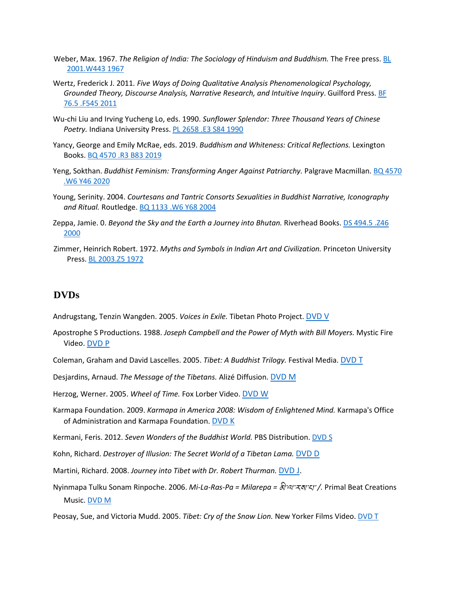- Weber, Max. 1967. *The Religion of India: The Sociology of Hinduism and Buddhism.* The Free press[. BL](https://maitripa.populiweb.com/library/resource.php?resourceID=14145260)  [2001.W443 1967](https://maitripa.populiweb.com/library/resource.php?resourceID=14145260)
- Wertz, Frederick J. 2011*. Five Ways of Doing Qualitative Analysis Phenomenological Psychology, Grounded Theory, Discourse Analysis, Narrative Research, and Intuitive Inquiry*. Guilford Press. [BF](https://maitripa.populiweb.com/library/resource.php?resourceID=14145155)  [76.5 .F545 2011](https://maitripa.populiweb.com/library/resource.php?resourceID=14145155)
- Wu-chi Liu and Irving Yucheng Lo, eds. 1990. *Sunflower Splendor: Three Thousand Years of Chinese Poetry.* Indiana University Press. [PL 2658 .E3 S84 1990](https://maitripa.populiweb.com/library/resource.php?resourceID=14145243)
- Yancy, George and Emily McRae, eds. 2019. *Buddhism and Whiteness: Critical Reflections.* Lexington Books[. BQ 4570 .R3 B83 2019](https://maitripa.populiweb.com/library/resource.php?resourceID=14145236)
- Yeng, Sokthan. *Buddhist Feminism: Transforming Anger Against Patriarchy.* Palgrave Macmillan[. BQ 4570](https://maitripa.populiweb.com/library/resource.php?resourceID=14145237)  [.W6 Y46 2020](https://maitripa.populiweb.com/library/resource.php?resourceID=14145237)
- Young, Serinity. 2004. *Courtesans and Tantric Consorts Sexualities in Buddhist Narrative, Iconography and Ritual.* Routledge. [BQ 1133 .W6 Y68 2004](https://maitripa.populiweb.com/library/resource.php?resourceID=14145182)
- Zeppa, Jamie. 0. *Beyond the Sky and the Earth a Journey into Bhutan.* Riverhead Books. [DS 494.5 .Z46](https://maitripa.populiweb.com/library/resource.php?resourceID=14145176)  [2000](https://maitripa.populiweb.com/library/resource.php?resourceID=14145176)
- Zimmer, Heinrich Robert. 1972. *Myths and Symbols in Indian Art and Civilization.* Princeton University Press. BL 2003.Z5 1972

## **DVDs**

Andrugstang, Tenzin Wangden. 2005. *Voices in Exile.* Tibetan Photo Project. [DVD V](https://maitripa.populiweb.com/library/resource.php?resourceID=14145141)

- Apostrophe S Productions. 1988. *Joseph Campbell and the Power of Myth with Bill Moyers.* Mystic Fire Video. **DVD P**
- Coleman, Graham and David Lascelles. 2005. *Tibet: A Buddhist Trilogy.* Festival Media. [DVD T](https://maitripa.populiweb.com/library/resource.php?resourceID=14145133)

Desjardins, Arnaud. *The Message of the Tibetans.* Alizé Diffusion. [DVD M](https://maitripa.populiweb.com/library/resource.php?resourceID=14145142)

Herzog, Werner. 2005. *Wheel of Time.* Fox Lorber Video[. DVD W](https://maitripa.populiweb.com/library/resource.php?resourceID=14145124)

- Karmapa Foundation. 2009. *Karmapa in America 2008: Wisdom of Enlightened Mind.* Karmapa's Office of Administration and Karmapa Foundation[. DVD K](https://maitripa.populiweb.com/library/resource.php?resourceID=14145130)
- Kermani, Feris. 2012. *Seven Wonders of the Buddhist World.* PBS Distribution. [DVD S](https://maitripa.populiweb.com/library/resource.php?resourceID=14145136)

Kohn, Richard. *Destroyer of Illusion: The Secret World of a Tibetan Lama.* [DVD D](https://maitripa.populiweb.com/library/resource.php?resourceID=14145129)

Martini, Richard. 2008. *Journey into Tibet with Dr. Robert Thurman.* [DVD J.](https://maitripa.populiweb.com/library/resource.php?resourceID=14145138)

Nyinmapa Tulku Sonam Rinpoche. 2006. *Mi-La-Ras-Pa = Milarepa =* མི་ལ་རས་པ་ */.* Primal Beat Creations Music[. DVD M](https://maitripa.populiweb.com/library/resource.php?resourceID=14145127)

Peosay, Sue, and Victoria Mudd. 2005. *Tibet: Cry of the Snow Lion*. New Yorker Films Video. *DVD T*